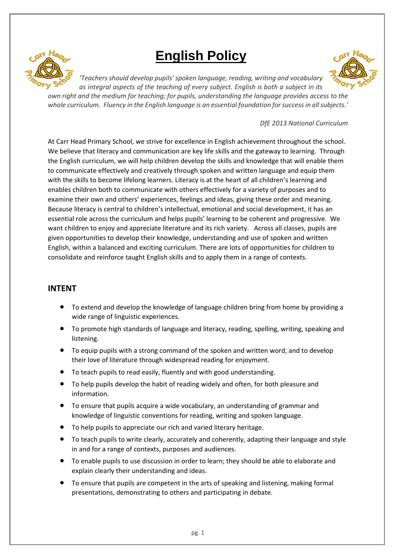

# **English Policy**



*'Teachers should develop pupils' spoken language, reading, writing and vocabulary as integral aspects of the teaching of every subject. English is both a subject in its* 

*own right and the medium for teaching; for pupils, understanding the language provides access to the whole curriculum. Fluency in the English language is an essential foundation for success in all subjects.'*

#### *DfE 2013 National Curriculum*

At Carr Head Primary School, we strive for excellence in English achievement throughout the school. We believe that literacy and communication are key life skills and the gateway to learning. Through the English curriculum, we will help children develop the skills and knowledge that will enable them to communicate effectively and creatively through spoken and written language and equip them with the skills to become lifelong learners. Literacy is at the heart of all children's learning and enables children both to communicate with others effectively for a variety of purposes and to examine their own and others' experiences, feelings and ideas, giving these order and meaning. Because literacy is central to children's intellectual, emotional and social development, it has an essential role across the curriculum and helps pupils' learning to be coherent and progressive. We want children to enjoy and appreciate literature and its rich variety. Across all classes, pupils are given opportunities to develop their knowledge, understanding and use of spoken and written English, within a balanced and exciting curriculum. There are lots of opportunities for children to consolidate and reinforce taught English skills and to apply them in a range of contexts.

#### **INTENT**

- To extend and develop the knowledge of language children bring from home by providing a wide range of linguistic experiences.
- To promote high standards of language and literacy, reading, spelling, writing, speaking and listening.
- To equip pupils with a strong command of the spoken and written word, and to develop their love of literature through widespread reading for enjoyment.
- To teach pupils to read easily, fluently and with good understanding.
- To help pupils develop the habit of reading widely and often, for both pleasure and information.
- To ensure that pupils acquire a wide vocabulary, an understanding of grammar and knowledge of linguistic conventions for reading, writing and spoken language.
- To help pupils to appreciate our rich and varied literary heritage.
- To teach pupils to write clearly, accurately and coherently, adapting their language and style in and for a range of contexts, purposes and audiences.
- To enable pupils to use discussion in order to learn; they should be able to elaborate and explain clearly their understanding and ideas.
- To ensure that pupils are competent in the arts of speaking and listening, making formal presentations, demonstrating to others and participating in debate.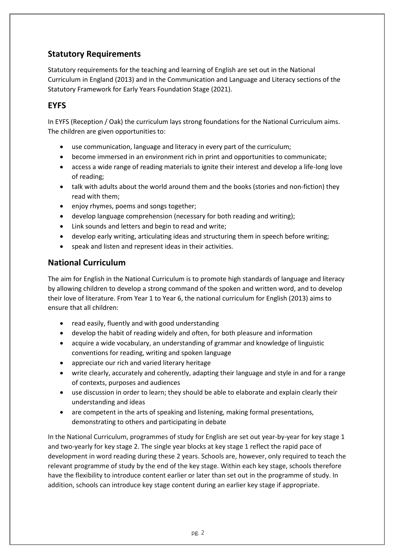## **Statutory Requirements**

Statutory requirements for the teaching and learning of English are set out in the National Curriculum in England (2013) and in the Communication and Language and Literacy sections of the Statutory Framework for Early Years Foundation Stage (2021).

## **EYFS**

In EYFS (Reception / Oak) the curriculum lays strong foundations for the National Curriculum aims. The children are given opportunities to:

- use communication, language and literacy in every part of the curriculum;
- become immersed in an environment rich in print and opportunities to communicate;
- access a wide range of reading materials to ignite their interest and develop a life-long love of reading;
- talk with adults about the world around them and the books (stories and non-fiction) they read with them;
- enjoy rhymes, poems and songs together;
- develop language comprehension (necessary for both reading and writing);
- Link sounds and letters and begin to read and write;
- develop early writing, articulating ideas and structuring them in speech before writing;
- speak and listen and represent ideas in their activities.

### **National Curriculum**

The aim for English in the National Curriculum is to promote high standards of language and literacy by allowing children to develop a strong command of the spoken and written word, and to develop their love of literature. From Year 1 to Year 6, the national curriculum for English (2013) aims to ensure that all children:

- read easily, fluently and with good understanding
- develop the habit of reading widely and often, for both pleasure and information
- acquire a wide vocabulary, an understanding of grammar and knowledge of linguistic conventions for reading, writing and spoken language
- appreciate our rich and varied literary heritage
- write clearly, accurately and coherently, adapting their language and style in and for a range of contexts, purposes and audiences
- use discussion in order to learn; they should be able to elaborate and explain clearly their understanding and ideas
- are competent in the arts of speaking and listening, making formal presentations, demonstrating to others and participating in debate

In the National Curriculum, programmes of study for English are set out year-by-year for key stage 1 and two-yearly for key stage 2. The single year blocks at key stage 1 reflect the rapid pace of development in word reading during these 2 years. Schools are, however, only required to teach the relevant programme of study by the end of the key stage. Within each key stage, schools therefore have the flexibility to introduce content earlier or later than set out in the programme of study. In addition, schools can introduce key stage content during an earlier key stage if appropriate.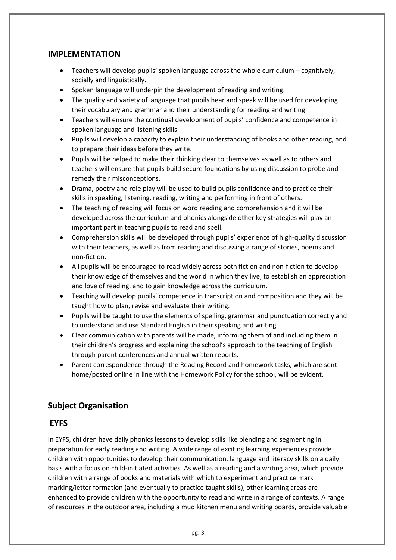#### **IMPLEMENTATION**

- $\bullet$  Teachers will develop pupils' spoken language across the whole curriculum cognitively, socially and linguistically.
- Spoken language will underpin the development of reading and writing.
- The quality and variety of language that pupils hear and speak will be used for developing their vocabulary and grammar and their understanding for reading and writing.
- Teachers will ensure the continual development of pupils' confidence and competence in spoken language and listening skills.
- Pupils will develop a capacity to explain their understanding of books and other reading, and to prepare their ideas before they write.
- Pupils will be helped to make their thinking clear to themselves as well as to others and teachers will ensure that pupils build secure foundations by using discussion to probe and remedy their misconceptions.
- Drama, poetry and role play will be used to build pupils confidence and to practice their skills in speaking, listening, reading, writing and performing in front of others.
- The teaching of reading will focus on word reading and comprehension and it will be developed across the curriculum and phonics alongside other key strategies will play an important part in teaching pupils to read and spell.
- Comprehension skills will be developed through pupils' experience of high-quality discussion with their teachers, as well as from reading and discussing a range of stories, poems and non-fiction.
- All pupils will be encouraged to read widely across both fiction and non-fiction to develop their knowledge of themselves and the world in which they live, to establish an appreciation and love of reading, and to gain knowledge across the curriculum.
- Teaching will develop pupils' competence in transcription and composition and they will be taught how to plan, revise and evaluate their writing.
- Pupils will be taught to use the elements of spelling, grammar and punctuation correctly and to understand and use Standard English in their speaking and writing.
- Clear communication with parents will be made, informing them of and including them in their children's progress and explaining the school's approach to the teaching of English through parent conferences and annual written reports.
- Parent correspondence through the Reading Record and homework tasks, which are sent home/posted online in line with the Homework Policy for the school, will be evident.

### **Subject Organisation**

### **EYFS**

In EYFS, children have daily phonics lessons to develop skills like blending and segmenting in preparation for early reading and writing. A wide range of exciting learning experiences provide children with opportunities to develop their communication, language and literacy skills on a daily basis with a focus on child-initiated activities. As well as a reading and a writing area, which provide children with a range of books and materials with which to experiment and practice mark marking/letter formation (and eventually to practice taught skills), other learning areas are enhanced to provide children with the opportunity to read and write in a range of contexts. A range of resources in the outdoor area, including a mud kitchen menu and writing boards, provide valuable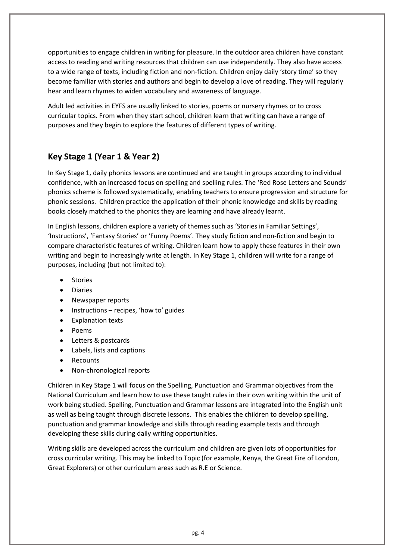opportunities to engage children in writing for pleasure. In the outdoor area children have constant access to reading and writing resources that children can use independently. They also have access to a wide range of texts, including fiction and non-fiction. Children enjoy daily 'story time' so they become familiar with stories and authors and begin to develop a love of reading. They will regularly hear and learn rhymes to widen vocabulary and awareness of language.

Adult led activities in EYFS are usually linked to stories, poems or nursery rhymes or to cross curricular topics. From when they start school, children learn that writing can have a range of purposes and they begin to explore the features of different types of writing.

# **Key Stage 1 (Year 1 & Year 2)**

In Key Stage 1, daily phonics lessons are continued and are taught in groups according to individual confidence, with an increased focus on spelling and spelling rules. The 'Red Rose Letters and Sounds' phonics scheme is followed systematically, enabling teachers to ensure progression and structure for phonic sessions. Children practice the application of their phonic knowledge and skills by reading books closely matched to the phonics they are learning and have already learnt.

In English lessons, children explore a variety of themes such as 'Stories in Familiar Settings', 'Instructions', 'Fantasy Stories' or 'Funny Poems'. They study fiction and non-fiction and begin to compare characteristic features of writing. Children learn how to apply these features in their own writing and begin to increasingly write at length. In Key Stage 1, children will write for a range of purposes, including (but not limited to):

- **Stories**
- Diaries
- Newspaper reports
- Instructions recipes, 'how to' guides
- Explanation texts
- Poems
- Letters & postcards
- Labels, lists and captions
- **Recounts**
- Non-chronological reports

Children in Key Stage 1 will focus on the Spelling, Punctuation and Grammar objectives from the National Curriculum and learn how to use these taught rules in their own writing within the unit of work being studied. Spelling, Punctuation and Grammar lessons are integrated into the English unit as well as being taught through discrete lessons. This enables the children to develop spelling, punctuation and grammar knowledge and skills through reading example texts and through developing these skills during daily writing opportunities.

Writing skills are developed across the curriculum and children are given lots of opportunities for cross curricular writing. This may be linked to Topic (for example, Kenya, the Great Fire of London, Great Explorers) or other curriculum areas such as R.E or Science.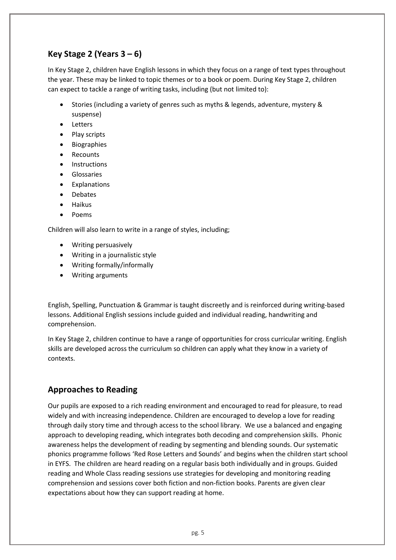# **Key Stage 2 (Years 3 – 6)**

In Key Stage 2, children have English lessons in which they focus on a range of text types throughout the year. These may be linked to topic themes or to a book or poem. During Key Stage 2, children can expect to tackle a range of writing tasks, including (but not limited to):

- Stories (including a variety of genres such as myths & legends, adventure, mystery & suspense)
- Letters
- Play scripts
- Biographies
- Recounts
- **Instructions**
- Glossaries
- **Explanations**
- **Debates**
- Haikus
- Poems

Children will also learn to write in a range of styles, including;

- Writing persuasively
- Writing in a journalistic style
- Writing formally/informally
- Writing arguments

English, Spelling, Punctuation & Grammar is taught discreetly and is reinforced during writing-based lessons. Additional English sessions include guided and individual reading, handwriting and comprehension.

In Key Stage 2, children continue to have a range of opportunities for cross curricular writing. English skills are developed across the curriculum so children can apply what they know in a variety of contexts.

## **Approaches to Reading**

Our pupils are exposed to a rich reading environment and encouraged to read for pleasure, to read widely and with increasing independence. Children are encouraged to develop a love for reading through daily story time and through access to the school library. We use a balanced and engaging approach to developing reading, which integrates both decoding and comprehension skills. Phonic awareness helps the development of reading by segmenting and blending sounds. Our systematic phonics programme follows 'Red Rose Letters and Sounds' and begins when the children start school in EYFS. The children are heard reading on a regular basis both individually and in groups. Guided reading and Whole Class reading sessions use strategies for developing and monitoring reading comprehension and sessions cover both fiction and non-fiction books. Parents are given clear expectations about how they can support reading at home.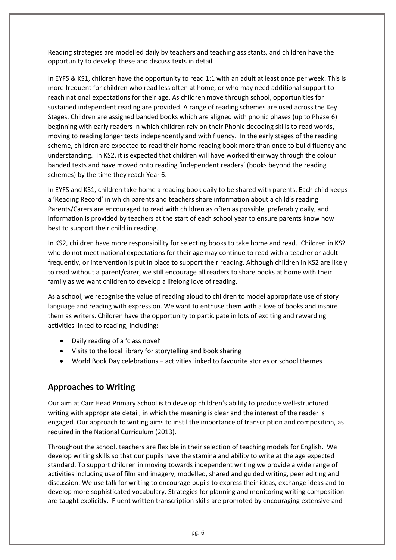Reading strategies are modelled daily by teachers and teaching assistants, and children have the opportunity to develop these and discuss texts in detail*.*

In EYFS & KS1, children have the opportunity to read 1:1 with an adult at least once per week. This is more frequent for children who read less often at home, or who may need additional support to reach national expectations for their age. As children move through school, opportunities for sustained independent reading are provided. A range of reading schemes are used across the Key Stages. Children are assigned banded books which are aligned with phonic phases (up to Phase 6) beginning with early readers in which children rely on their Phonic decoding skills to read words, moving to reading longer texts independently and with fluency. In the early stages of the reading scheme, children are expected to read their home reading book more than once to build fluency and understanding. In KS2, it is expected that children will have worked their way through the colour banded texts and have moved onto reading 'independent readers' (books beyond the reading schemes) by the time they reach Year 6.

In EYFS and KS1, children take home a reading book daily to be shared with parents. Each child keeps a 'Reading Record' in which parents and teachers share information about a child's reading. Parents/Carers are encouraged to read with children as often as possible, preferably daily, and information is provided by teachers at the start of each school year to ensure parents know how best to support their child in reading.

In KS2, children have more responsibility for selecting books to take home and read. Children in KS2 who do not meet national expectations for their age may continue to read with a teacher or adult frequently, or intervention is put in place to support their reading. Although children in KS2 are likely to read without a parent/carer, we still encourage all readers to share books at home with their family as we want children to develop a lifelong love of reading.

As a school, we recognise the value of reading aloud to children to model appropriate use of story language and reading with expression. We want to enthuse them with a love of books and inspire them as writers. Children have the opportunity to participate in lots of exciting and rewarding activities linked to reading, including:

- Daily reading of a 'class novel'
- Visits to the local library for storytelling and book sharing
- World Book Day celebrations activities linked to favourite stories or school themes

### **Approaches to Writing**

Our aim at Carr Head Primary School is to develop children's ability to produce well-structured writing with appropriate detail, in which the meaning is clear and the interest of the reader is engaged. Our approach to writing aims to instil the importance of transcription and composition, as required in the National Curriculum (2013).

Throughout the school, teachers are flexible in their selection of teaching models for English. We develop writing skills so that our pupils have the stamina and ability to write at the age expected standard. To support children in moving towards independent writing we provide a wide range of activities including use of film and imagery, modelled, shared and guided writing, peer editing and discussion. We use talk for writing to encourage pupils to express their ideas, exchange ideas and to develop more sophisticated vocabulary. Strategies for planning and monitoring writing composition are taught explicitly. Fluent written transcription skills are promoted by encouraging extensive and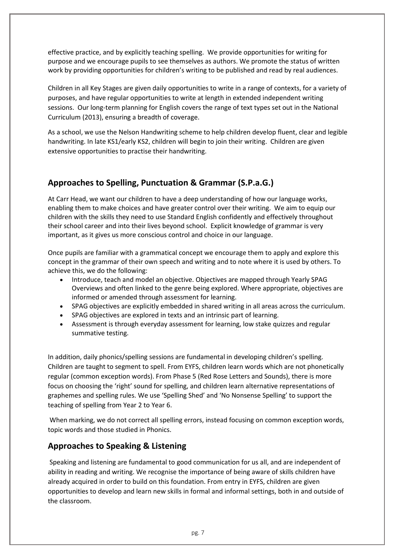effective practice, and by explicitly teaching spelling. We provide opportunities for writing for purpose and we encourage pupils to see themselves as authors. We promote the status of written work by providing opportunities for children's writing to be published and read by real audiences.

Children in all Key Stages are given daily opportunities to write in a range of contexts, for a variety of purposes, and have regular opportunities to write at length in extended independent writing sessions. Our long-term planning for English covers the range of text types set out in the National Curriculum (2013), ensuring a breadth of coverage.

As a school, we use the Nelson Handwriting scheme to help children develop fluent, clear and legible handwriting. In late KS1/early KS2, children will begin to join their writing. Children are given extensive opportunities to practise their handwriting.

## **Approaches to Spelling, Punctuation & Grammar (S.P.a.G.)**

At Carr Head, we want our children to have a deep understanding of how our language works, enabling them to make choices and have greater control over their writing. We aim to equip our children with the skills they need to use Standard English confidently and effectively throughout their school career and into their lives beyond school. Explicit knowledge of grammar is very important, as it gives us more conscious control and choice in our language.

Once pupils are familiar with a grammatical concept we encourage them to apply and explore this concept in the grammar of their own speech and writing and to note where it is used by others. To achieve this, we do the following:

- Introduce, teach and model an objective. Objectives are mapped through Yearly SPAG Overviews and often linked to the genre being explored. Where appropriate, objectives are informed or amended through assessment for learning.
- SPAG objectives are explicitly embedded in shared writing in all areas across the curriculum.
- SPAG objectives are explored in texts and an intrinsic part of learning.
- Assessment is through everyday assessment for learning, low stake quizzes and regular summative testing.

In addition, daily phonics/spelling sessions are fundamental in developing children's spelling. Children are taught to segment to spell. From EYFS, children learn words which are not phonetically regular (common exception words). From Phase 5 (Red Rose Letters and Sounds), there is more focus on choosing the 'right' sound for spelling, and children learn alternative representations of graphemes and spelling rules. We use 'Spelling Shed' and 'No Nonsense Spelling' to support the teaching of spelling from Year 2 to Year 6.

When marking, we do not correct all spelling errors, instead focusing on common exception words, topic words and those studied in Phonics.

## **Approaches to Speaking & Listening**

Speaking and listening are fundamental to good communication for us all, and are independent of ability in reading and writing. We recognise the importance of being aware of skills children have already acquired in order to build on this foundation. From entry in EYFS, children are given opportunities to develop and learn new skills in formal and informal settings, both in and outside of the classroom.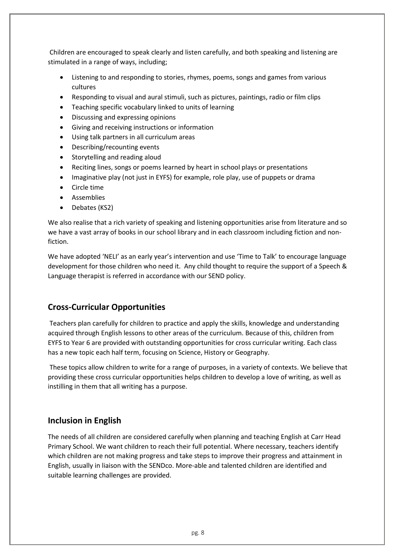Children are encouraged to speak clearly and listen carefully, and both speaking and listening are stimulated in a range of ways, including;

- Listening to and responding to stories, rhymes, poems, songs and games from various cultures
- Responding to visual and aural stimuli, such as pictures, paintings, radio or film clips
- Teaching specific vocabulary linked to units of learning
- Discussing and expressing opinions
- Giving and receiving instructions or information
- Using talk partners in all curriculum areas
- Describing/recounting events
- Storytelling and reading aloud
- Reciting lines, songs or poems learned by heart in school plays or presentations
- Imaginative play (not just in EYFS) for example, role play, use of puppets or drama
- Circle time
- Assemblies
- Debates (KS2)

We also realise that a rich variety of speaking and listening opportunities arise from literature and so we have a vast array of books in our school library and in each classroom including fiction and nonfiction.

We have adopted 'NELI' as an early year's intervention and use 'Time to Talk' to encourage language development for those children who need it. Any child thought to require the support of a Speech & Language therapist is referred in accordance with our SEND policy.

## **Cross-Curricular Opportunities**

Teachers plan carefully for children to practice and apply the skills, knowledge and understanding acquired through English lessons to other areas of the curriculum. Because of this, children from EYFS to Year 6 are provided with outstanding opportunities for cross curricular writing. Each class has a new topic each half term, focusing on Science, History or Geography.

These topics allow children to write for a range of purposes, in a variety of contexts. We believe that providing these cross curricular opportunities helps children to develop a love of writing, as well as instilling in them that all writing has a purpose.

### **Inclusion in English**

The needs of all children are considered carefully when planning and teaching English at Carr Head Primary School. We want children to reach their full potential. Where necessary, teachers identify which children are not making progress and take steps to improve their progress and attainment in English, usually in liaison with the SENDco. More-able and talented children are identified and suitable learning challenges are provided.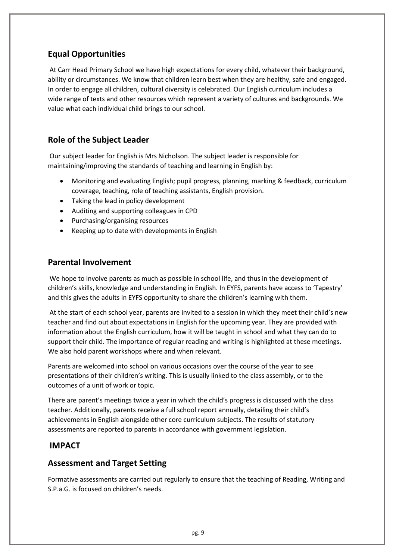## **Equal Opportunities**

At Carr Head Primary School we have high expectations for every child, whatever their background, ability or circumstances. We know that children learn best when they are healthy, safe and engaged. In order to engage all children, cultural diversity is celebrated. Our English curriculum includes a wide range of texts and other resources which represent a variety of cultures and backgrounds. We value what each individual child brings to our school.

## **Role of the Subject Leader**

Our subject leader for English is Mrs Nicholson. The subject leader is responsible for maintaining/improving the standards of teaching and learning in English by:

- Monitoring and evaluating English; pupil progress, planning, marking & feedback, curriculum coverage, teaching, role of teaching assistants, English provision.
- Taking the lead in policy development
- Auditing and supporting colleagues in CPD
- Purchasing/organising resources
- Keeping up to date with developments in English

### **Parental Involvement**

We hope to involve parents as much as possible in school life, and thus in the development of children's skills, knowledge and understanding in English. In EYFS, parents have access to 'Tapestry' and this gives the adults in EYFS opportunity to share the children's learning with them.

At the start of each school year, parents are invited to a session in which they meet their child's new teacher and find out about expectations in English for the upcoming year. They are provided with information about the English curriculum, how it will be taught in school and what they can do to support their child. The importance of regular reading and writing is highlighted at these meetings. We also hold parent workshops where and when relevant.

Parents are welcomed into school on various occasions over the course of the year to see presentations of their children's writing. This is usually linked to the class assembly, or to the outcomes of a unit of work or topic.

There are parent's meetings twice a year in which the child's progress is discussed with the class teacher. Additionally, parents receive a full school report annually, detailing their child's achievements in English alongside other core curriculum subjects. The results of statutory assessments are reported to parents in accordance with government legislation.

### **IMPACT**

### **Assessment and Target Setting**

Formative assessments are carried out regularly to ensure that the teaching of Reading, Writing and S.P.a.G. is focused on children's needs.